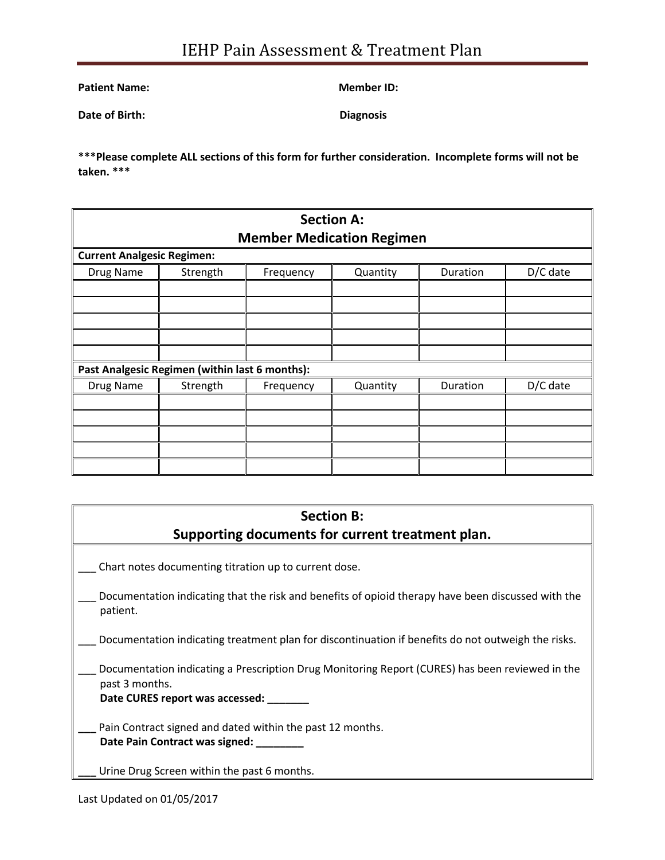Patient Name: Member ID:

**Date of Birth:** Diagnosis

**\*\*\*Please complete ALL sections of this form for further consideration. Incomplete forms will not be taken. \*\*\***

| <b>Section A:</b><br><b>Member Medication Regimen</b> |          |           |          |          |          |  |
|-------------------------------------------------------|----------|-----------|----------|----------|----------|--|
| <b>Current Analgesic Regimen:</b>                     |          |           |          |          |          |  |
| Drug Name                                             | Strength | Frequency | Quantity | Duration | D/C date |  |
|                                                       |          |           |          |          |          |  |
|                                                       |          |           |          |          |          |  |
|                                                       |          |           |          |          |          |  |
|                                                       |          |           |          |          |          |  |
|                                                       |          |           |          |          |          |  |
| Past Analgesic Regimen (within last 6 months):        |          |           |          |          |          |  |
| Drug Name                                             | Strength | Frequency | Quantity | Duration | D/C date |  |
|                                                       |          |           |          |          |          |  |
|                                                       |          |           |          |          |          |  |
|                                                       |          |           |          |          |          |  |
|                                                       |          |           |          |          |          |  |
|                                                       |          |           |          |          |          |  |

## **Section B: Supporting documents for current treatment plan.**

Chart notes documenting titration up to current dose.

- Documentation indicating that the risk and benefits of opioid therapy have been discussed with the patient.
- Documentation indicating treatment plan for discontinuation if benefits do not outweigh the risks.
- Documentation indicating a Prescription Drug Monitoring Report (CURES) has been reviewed in the past 3 months.

**Date CURES report was accessed: \_\_\_\_\_\_\_**

Pain Contract signed and dated within the past 12 months. **Date Pain Contract was signed: \_\_\_\_\_\_\_\_**

Urine Drug Screen within the past 6 months.